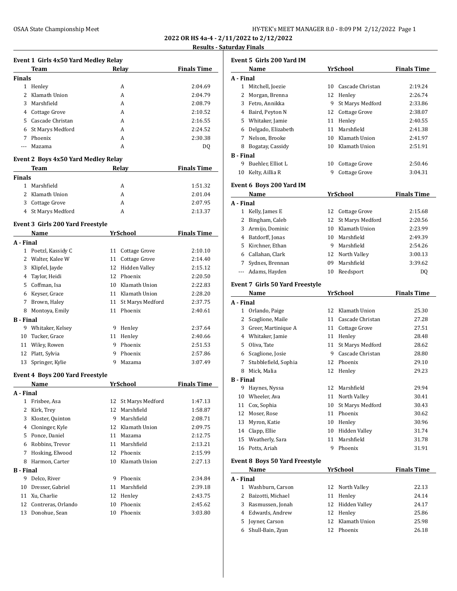**2022 OR HS 4a-4 - 2/11/2022 to 2/12/2022**

# **Results - Saturday Finals**

|                  | Event 1 Girls 4x50 Yard Medley Relay               |    |                     |                    |
|------------------|----------------------------------------------------|----|---------------------|--------------------|
|                  | <b>Team</b>                                        |    | Relay               | <b>Finals Time</b> |
| <b>Finals</b>    |                                                    |    |                     |                    |
|                  | 1 Henley                                           |    | A                   | 2:04.69            |
|                  | 2 Klamath Union                                    |    | A                   | 2:04.79            |
|                  | 3 Marshfield                                       |    | A                   | 2:08.79            |
|                  | 4 Cottage Grove                                    |    | A                   | 2:10.52            |
|                  | 5 Cascade Christan                                 |    | A                   | 2:16.55            |
| 6                | St Marys Medford                                   |    | A                   | 2:24.52            |
|                  | 7 Phoenix                                          |    | A                   | 2:30.38            |
| ---              | Mazama                                             |    | A                   | DQ                 |
|                  | <b>Event 2 Boys 4x50 Yard Medley Relay</b><br>Team |    | Relay               | <b>Finals Time</b> |
| <b>Finals</b>    |                                                    |    |                     |                    |
|                  | 1 Marshfield                                       |    | A                   | 1:51.32            |
|                  | 2 Klamath Union                                    |    | A                   | 2:01.04            |
|                  | 3 Cottage Grove                                    |    | A                   | 2:07.95            |
|                  | 4 St Marys Medford                                 |    | A                   | 2:13.37            |
|                  |                                                    |    |                     |                    |
|                  | <b>Event 3 Girls 200 Yard Freestyle</b>            |    |                     |                    |
|                  | Name                                               |    | YrSchool            | <b>Finals Time</b> |
| A - Final        | 1 Poetzl, Kassidy C                                | 11 |                     |                    |
|                  |                                                    | 11 | Cottage Grove       | 2:10.10            |
|                  | 2 Walter, Kalee W                                  |    | Cottage Grove       | 2:14.40            |
|                  | 3 Klipfel, Jayde                                   | 12 | Hidden Valley       | 2:15.12            |
|                  | 4 Taylor, Heidi                                    |    | 12 Phoenix          | 2:20.50            |
|                  | 5 Coffman, Isa                                     |    | 10 Klamath Union    | 2:22.83            |
|                  | 6 Keyser, Grace                                    |    | 11 Klamath Union    | 2:28.20            |
|                  | 7 Brown, Haley                                     |    | 11 St Marys Medford | 2:37.75            |
|                  | 8 Montoya, Emily                                   |    | 11 Phoenix          | 2:40.61            |
| <b>B</b> - Final |                                                    |    |                     |                    |
|                  | 9 Whitaker, Kelsey                                 |    | 9 Henley            | 2:37.64            |
|                  | 10 Tucker, Grace                                   |    | 11 Henley           | 2:40.66            |
|                  | 11 Wiley, Rowen                                    |    | 9 Phoenix           | 2:51.53            |
|                  | 12 Platt, Sylvia                                   | 9  | Phoenix             | 2:57.86            |
| 13               | Springer, Kylie                                    | 9  | Mazama              | 3:07.49            |
|                  | <b>Event 4 Boys 200 Yard Freestyle</b>             |    |                     |                    |
|                  | Name                                               |    | YrSchool            | <b>Finals Time</b> |
| A - Final<br>1   |                                                    | 12 | St Marys Medford    | 1:47.13            |
| $\overline{2}$   | Frisbee, Asa<br>Kirk, Trey                         | 12 | Marshfield          | 1:58.87            |
|                  |                                                    |    |                     |                    |
|                  | 3 Kloster, Quinton                                 |    | 9 Marshfield        | 2:08.71            |
|                  | 4 Cloninger, Kyle                                  |    | 12 Klamath Union    | 2:09.75            |
|                  | 5 Ponce, Daniel                                    |    | 11 Mazama           | 2:12.75            |
|                  | 6 Robbins, Trevor                                  |    | 11 Marshfield       | 2:13.21            |
| 7                | Hosking, Elwood                                    |    | 12 Phoenix          | 2:15.99            |
|                  | 8 Harmon, Carter                                   |    | 10 Klamath Union    | 2:27.13            |
| <b>B</b> - Final |                                                    |    |                     |                    |
| 9                | Delco, River                                       |    | 9 Phoenix           | 2:34.84            |
| 10               | Dresser, Gabriel                                   | 11 | Marshfield          | 2:39.18            |
| 11               | Xu, Charlie                                        | 12 | Henley              | 2:43.75            |
| 12               | Contreras, Orlando                                 | 10 | Phoenix             | 2:45.62            |
| 13               | Donohue, Sean                                      | 10 | Phoenix             | 3:03.80            |
|                  |                                                    |    |                     |                    |

|                      | Event 5 Girls 200 Yard IM                      |    |                     |                    |
|----------------------|------------------------------------------------|----|---------------------|--------------------|
|                      | Name                                           |    | YrSchool            | <b>Finals Time</b> |
| A - Final            |                                                |    |                     |                    |
|                      | 1 Mitchell, Joezie                             | 10 | Cascade Christan    | 2:19.24            |
| 2                    | Morgan, Brenna                                 | 12 | Henley              | 2:26.74            |
|                      | 3 Fetro, Annikka                               | 9  | St Marys Medford    | 2:33.86            |
|                      | 4 Baird, Peyton N                              |    | 12 Cottage Grove    | 2:38.07            |
|                      | 5 Whitaker, Jamie                              |    | 11 Henley           | 2:40.55            |
|                      | 6 Delgado, Elizabeth                           | 11 | Marshfield          | 2:41.38            |
|                      | 7 Nelson, Brooke                               |    | 10 Klamath Union    | 2:41.97            |
| 8                    | Bogatay, Cassidy                               |    | 10 Klamath Union    | 2:51.91            |
| <b>B</b> - Final     |                                                |    |                     |                    |
| 9                    | Buehler, Elliot L                              |    | 10 Cottage Grove    | 2:50.46            |
| 10                   | Kelty, Aillia R                                | 9  | Cottage Grove       | 3:04.31            |
|                      | Event 6 Boys 200 Yard IM                       |    |                     |                    |
|                      | Name                                           |    | YrSchool            | <b>Finals Time</b> |
| A - Final            |                                                |    |                     |                    |
|                      | 1 Kelly, James E                               | 12 | Cottage Grove       | 2:15.68            |
| 2                    | Bingham, Caleb                                 | 12 | St Marys Medford    | 2:20.56            |
| 3                    | Armijo, Dominic                                |    | 10 Klamath Union    | 2:23.99            |
|                      | 4 Batdorff, Jonas                              |    | 10 Marshfield       | 2:49.39            |
|                      | 5 Kirchner, Ethan                              |    | 9 Marshfield        | 2:54.26            |
|                      | 6 Callahan, Clark                              |    | 12 North Valley     | 3:00.13            |
| 7                    | Sydnes, Brennan                                |    | 09 Marshfield       | 3:39.62            |
| $\scriptstyle\cdots$ | Adams, Hayden                                  |    | 10 Reedsport        | DQ                 |
|                      |                                                |    |                     |                    |
|                      | <b>Event 7 Girls 50 Yard Freestyle</b><br>Name |    | <b>YrSchool</b>     | <b>Finals Time</b> |
| A - Final            |                                                |    |                     |                    |
|                      | 1 Orlando, Paige                               |    | 12 Klamath Union    | 25.30              |
| 2                    | Scaglione, Maile                               |    | 11 Cascade Christan | 27.28              |
|                      | 3 Greer, Martinique A                          |    | 11 Cottage Grove    | 27.51              |
|                      | 4 Whitaker, Jamie                              |    | 11 Henley           | 28.48              |
|                      | 5 Oliva, Tate                                  | 11 | St Marys Medford    | 28.62              |
|                      | 6 Scaglione, Josie                             |    | 9 Cascade Christan  | 28.80              |
| 7                    | Stubblefield, Sophia                           |    | 12 Phoenix          | 29.10              |
| 8                    | Mick, Malia                                    |    | 12 Henley           | 29.23              |
| <b>B</b> - Final     |                                                |    |                     |                    |
|                      | 9 Haynes, Nyssa                                |    | 12 Marshfield       | 29.94              |
|                      | 10 Wheeler, Ava                                |    | 11 North Valley     | 30.41              |
|                      | 11 Cox, Sophia                                 | 10 | St Marys Medford    | 30.43              |
| 12                   | Moser, Rose                                    |    | 11 Phoenix          | 30.62              |
| 13                   | Myron, Katie                                   |    | 10 Henley           | 30.96              |
|                      | 14 Clapp, Ellie                                |    | 10 Hidden Valley    | 31.74              |
| 15                   | Weatherly, Sara                                | 11 | Marshfield          | 31.78              |
|                      | 16 Potts, Ariah                                |    | 9 Phoenix           | 31.91              |
|                      |                                                |    |                     |                    |
|                      | <b>Event 8 Boys 50 Yard Freestyle</b>          |    |                     |                    |
| A - Final            | Name                                           |    | <u>YrSchool</u>     | <b>Finals Time</b> |
| $\mathbf{1}$         | Washburn, Carson                               |    | 12 North Valley     |                    |
|                      | 2 Baizotti, Michael                            |    | 11 Henley           | 22.13<br>24.14     |
|                      | 3 Rasmussen, Jonah                             |    | 12 Hidden Valley    | 24.17              |
|                      | 4 Edwards, Andrew                              |    | 12 Henley           | 25.86              |
|                      | 5 Joyner, Carson                               |    | 12 Klamath Union    | 25.98              |
|                      | 6 Shull-Bain, Zyan                             |    | 12 Phoenix          | 26.18              |
|                      |                                                |    |                     |                    |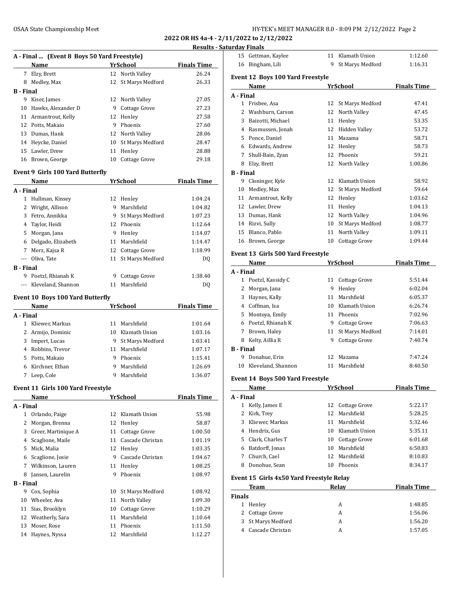**2022 OR HS 4a-4 - 2/11/2022 to 2/12/2022**

| <b>Results - Saturday Finals</b> |
|----------------------------------|
|----------------------------------|

|                  |                                             |    |                     | <b>Results - S</b> |
|------------------|---------------------------------------------|----|---------------------|--------------------|
|                  | A - Final  (Event 8 Boys 50 Yard Freestyle) |    |                     |                    |
|                  | Name                                        |    | YrSchool            | <b>Finals Time</b> |
|                  | 7 Elzy, Brett                               |    | 12 North Valley     | 26.24              |
|                  | 8 Medley, Max                               | 12 | St Marys Medford    | 26.33              |
| <b>B</b> - Final |                                             |    |                     |                    |
|                  | 9 Kiser, James                              |    | 12 North Valley     | 27.05              |
|                  | 10 Hawks, Alexander D                       |    | 9 Cottage Grove     | 27.23              |
|                  | 11 Armantrout, Kelly                        |    | 12 Henley           | 27.58              |
|                  | 12 Potts, Makaio                            |    | 9 Phoenix           | 27.60              |
|                  | 13 Dumas, Hank                              |    | 12 North Valley     | 28.06              |
|                  | 14 Heycke, Daniel                           |    | 10 St Marys Medford | 28.47              |
|                  | 15 Lawler, Drew                             |    | 11 Henley           | 28.88              |
|                  | 16 Brown, George                            | 10 | Cottage Grove       | 29.18              |
|                  | <b>Event 9 Girls 100 Yard Butterfly</b>     |    |                     |                    |
|                  | Name                                        |    | YrSchool            | <b>Finals Time</b> |
| A - Final        |                                             |    |                     |                    |
| 1                | Hullman, Kinsey                             | 12 | Henley              | 1:04.24            |
|                  | 2 Wright, Allison                           |    | 9 Marshfield        | 1:04.82            |
|                  | 3 Fetro, Annikka                            |    | 9 St Marys Medford  | 1:07.23            |
|                  | 4 Taylor, Heidi                             |    | 12 Phoenix          | 1:12.64            |
|                  | 5 Morgan, Jana                              |    | 9 Henley            | 1:14.07            |
|                  | 6 Delgado, Elizabeth                        |    | 11 Marshfield       | 1:14.47            |
|                  | 7 Merz, Kajsa R                             |    | 12 Cottage Grove    | 1:18.99            |
|                  | --- Oliva. Tate                             | 11 | St Marys Medford    | DQ                 |
| <b>B</b> - Final |                                             |    |                     |                    |
|                  | 9 Poetzl, Rhianah K                         | 9  | Cottage Grove       | 1:38.40            |
|                  | --- Kleveland, Shannon                      | 11 | Marshfield          | DQ                 |
|                  | <b>Event 10 Boys 100 Yard Butterfly</b>     |    |                     |                    |
|                  | Name                                        |    | <u>YrSchool</u>     | <b>Finals Time</b> |
| A - Final        |                                             |    |                     |                    |
| $1 \quad$        | Kliewer, Markus                             |    | 11 Marshfield       | 1:01.64            |
|                  | 2 Armijo, Dominic                           |    | 10 Klamath Union    | 1:03.16            |
|                  | 3 Impert, Lucas                             |    | 9 St Marys Medford  | 1:03.41            |
|                  | 4 Robbins, Trevor                           |    | 11 Marshfield       | 1:07.17            |
|                  | 5 Potts, Makaio                             |    | 9 Phoenix           | 1:15.41            |
|                  | 6 Kirchner, Ethan                           |    | 9 Marshfield        | 1:26.69            |
| 7                | Leep, Cole                                  |    | 9 Marshfield        | 1:36.07            |
|                  | <b>Event 11 Girls 100 Yard Freestyle</b>    |    |                     |                    |
|                  | Name                                        |    | <b>YrSchool</b>     | <b>Finals Time</b> |
| A - Final        |                                             |    |                     |                    |
| $1\,$            | Orlando, Paige                              | 12 | Klamath Union       | 55.98              |
| 2                | Morgan, Brenna                              | 12 | Henley              | 58.87              |
|                  | 3 Greer, Martinique A                       | 11 | Cottage Grove       | 1:00.50            |
|                  | 4 Scaglione, Maile                          | 11 | Cascade Christan    | 1:01.19            |
|                  | 5 Mick, Malia                               |    | 12 Henley           | 1:03.35            |
|                  | 6 Scaglione, Josie                          |    | 9 Cascade Christan  | 1:04.67            |
|                  | 7 Wilkinson, Lauren                         |    | 11 Henley           | 1:08.25            |
| 8                | Jansen, Laurelin                            | 9  | Phoenix             | 1:08.97            |
| <b>B</b> - Final |                                             |    |                     |                    |
| 9                | Cox, Sophia                                 | 10 | St Marys Medford    | 1:08.92            |
| 10               | Wheeler, Ava                                |    | 11 North Valley     | 1:09.30            |
| 11               | Sias, Brooklyn                              | 10 | Cottage Grove       | 1:10.29            |
| 12               | Weatherly, Sara                             |    | 11 Marshfield       | 1:10.64            |
| 13               | Moser, Rose                                 |    | 11 Phoenix          | 1:11.50            |
| 14               | Haynes, Nyssa                               | 12 | Marshfield          | 1:12.27            |
|                  |                                             |    |                     |                    |

| uu j                  | 1 man .                                  |    |                              |                    |
|-----------------------|------------------------------------------|----|------------------------------|--------------------|
|                       | 15 Gettman, Kaylee                       | 11 | Klamath Union                | 1:12.60            |
| 16                    | Bingham, Lili                            | 9  | St Marys Medford             | 1:16.31            |
|                       | Event 12 Boys 100 Yard Freestyle         |    |                              |                    |
|                       | Name                                     |    | <b>YrSchool</b>              | <b>Finals Time</b> |
| A - Final             |                                          |    |                              |                    |
| 1                     | Frisbee, Asa                             | 12 | St Marys Medford             | 47.41              |
|                       | 2 Washburn, Carson                       |    | 12 North Valley              | 47.45              |
|                       | 3 Baizotti, Michael                      |    | 11 Henley                    | 53.35              |
|                       | 4 Rasmussen, Jonah                       |    | 12 Hidden Valley             | 53.72              |
|                       | 5 Ponce, Daniel                          |    | 11 Mazama                    | 58.71              |
|                       | 6 Edwards, Andrew                        |    | 12 Henley                    | 58.73              |
|                       | 7 Shull-Bain, Zyan                       |    | 12 Phoenix                   | 59.21              |
|                       | 8 Elzy, Brett                            |    | 12 North Valley              | 1:00.86            |
| <b>B</b> - Final      |                                          |    |                              |                    |
|                       | 9 Cloninger, Kyle                        |    | 12 Klamath Union             | 58.92              |
| 10                    | Medley, Max                              | 12 | St Marys Medford             | 59.64              |
|                       | 11 Armantrout, Kelly                     |    | 12 Henley                    | 1:03.62            |
|                       | 12 Lawler, Drew                          |    | 11 Henley                    | 1:04.13            |
|                       | 13 Dumas, Hank                           |    | 12 North Valley              | 1:04.96            |
|                       | 14 Rizvi, Sully                          |    | 10 St Marys Medford          | 1:08.77            |
| 15                    | Blanco, Pablo                            | 11 | North Valley                 | 1:09.11            |
| 16                    | Brown, George                            | 10 | Cottage Grove                | 1:09.44            |
|                       |                                          |    |                              |                    |
|                       | Event 13 Girls 500 Yard Freestyle        |    |                              |                    |
|                       | Name                                     |    | YrSchool                     | <b>Finals Time</b> |
| A - Final             |                                          |    |                              |                    |
|                       | 1 Poetzl, Kassidy C                      |    | 11 Cottage Grove<br>9 Henley | 5:51.44<br>6:02.04 |
| 3                     | 2 Morgan, Jana<br>Haynes, Kally          |    | 11 Marshfield                | 6:05.37            |
|                       | 4 Coffman, Isa                           |    | 10 Klamath Union             | 6:26.74            |
|                       |                                          |    | 11 Phoenix                   |                    |
|                       | 5 Montoya, Emily<br>6 Poetzl, Rhianah K  |    | 9 Cottage Grove              | 7:02.96<br>7:06.63 |
| 7                     |                                          |    |                              |                    |
|                       | Brown, Haley                             | 11 | St Marys Medford             | 7:14.01            |
| 8<br><b>B</b> - Final | Kelty, Aillia R                          | 9  | Cottage Grove                | 7:40.74            |
| 9                     | Donahue, Erin                            | 12 | Mazama                       | 7:47.24            |
| 10                    | Kleveland, Shannon                       | 11 | Marshfield                   | 8:40.50            |
|                       |                                          |    |                              |                    |
|                       | Event 14 Boys 500 Yard Freestyle         |    |                              |                    |
|                       | Name                                     |    | <u>YrSchool</u>              | <b>Finals Time</b> |
| A - Final             |                                          |    |                              |                    |
| $\mathbf{1}$          | Kelly, James E                           | 12 | Cottage Grove                | 5:22.17            |
| $\mathbf{2}$          | Kirk, Trey                               | 12 | Marshfield                   | 5:28.25            |
| 3                     | Kliewer, Markus                          |    | 11 Marshfield                | 5:32.46            |
|                       | 4 Hendrix, Gus                           |    | 10 Klamath Union             | 5:35.11            |
|                       | 5 Clark, Charles T                       |    | 10 Cottage Grove             | 6:01.68            |
| 6                     | Batdorff, Jonas                          |    | 10 Marshfield                | 6:50.83            |
|                       | 7 Church, Cael                           |    | 12 Marshfield                | 8:10.83            |
| 8                     | Donohue, Sean                            | 10 | Phoenix                      | 8:34.17            |
|                       | Event 15 Girls 4x50 Yard Freestyle Relay |    |                              |                    |
|                       | <b>Team</b>                              |    | Relay                        | <b>Finals Time</b> |
| <b>Finals</b>         |                                          |    |                              |                    |
|                       | 1 Henley                                 |    | A                            | 1:48.85            |
|                       | 2 Cottage Grove                          |    | A                            | 1:56.06            |
| 3                     | St Marys Medford                         |    | A                            | 1:56.20            |
|                       | 4 Cascade Christan                       |    | A                            | 1:57.05            |
|                       |                                          |    |                              |                    |
|                       |                                          |    |                              |                    |
|                       |                                          |    |                              |                    |